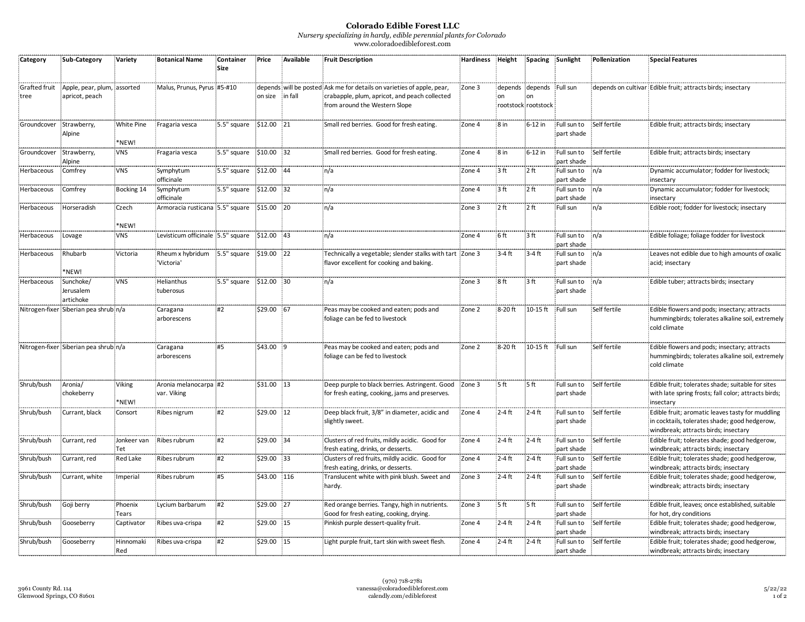## **Colorado Edible Forest LLC**

*Nursery specializing in hardy, edible perennial plants for Colorado* www.coloradoedibleforest.com

| Category                | <b>Sub-Category</b>                           | Variety             | <b>Botanical Name</b>                      | Container<br>Size | Price           | Available | <b>Fruit Description</b>                                                                                                                                 | Hardiness | Height          |                                                       | Spacing Sunlight          | Pollenization | <b>Special Features</b>                                                                                                                   |
|-------------------------|-----------------------------------------------|---------------------|--------------------------------------------|-------------------|-----------------|-----------|----------------------------------------------------------------------------------------------------------------------------------------------------------|-----------|-----------------|-------------------------------------------------------|---------------------------|---------------|-------------------------------------------------------------------------------------------------------------------------------------------|
| Grafted fruit<br>tree   | Apple, pear, plum, assorted<br>apricot, peach |                     | Malus, Prunus, Pyrus #5-#10                |                   | on size in fall |           | depends will be posted Ask me for details on varieties of apple, pear,<br>crabapple, plum, apricot, and peach collected<br>from around the Western Slope | Zone 3    | on              | depends depends Full sun<br>on<br>rootstock rootstock |                           |               | depends on cultivar Edible fruit; attracts birds; insectary                                                                               |
| Groundcover Strawberry, | Alpine                                        | White Pine<br>*NEW! | Fragaria vesca                             | 5.5" square       | \$12.00 21      |           | Small red berries. Good for fresh eating.                                                                                                                | Zone 4    | 8 <sub>in</sub> | $6-12$ in                                             | Full sun to<br>part shade | Self fertile  | Edible fruit; attracts birds; insectary                                                                                                   |
| Groundcover             | Strawberry,<br>Alpine                         | <b>VNS</b>          | Fragaria vesca                             | 5.5" square       | $$10.00$ 32     |           | Small red berries. Good for fresh eating.                                                                                                                | Zone 4    | 8 <sub>in</sub> | $6-12$ in                                             | Full sun to<br>part shade | Self fertile  | Edible fruit; attracts birds; insectary                                                                                                   |
| Herbaceous              | Comfrey                                       | <b>VNS</b>          | Symphytum<br>officinale                    | 5.5" square       | \$12.00 44      |           | n/a                                                                                                                                                      | Zone 4    | 3 <sup>ft</sup> | 2 <sub>ft</sub>                                       | Full sun to<br>part shade | n/a           | Dynamic accumulator; fodder for livestock;<br>insectary                                                                                   |
| Herbaceous              | Comfrey                                       | Bocking 14          | Symphytum<br>officinale                    | 5.5" square       | \$12.00 32      |           | n/a                                                                                                                                                      | Zone 4    | 3 <sup>ft</sup> | 2 <sub>ft</sub>                                       | Full sun to<br>part shade | n/a           | Dynamic accumulator; fodder for livestock;<br>insectary                                                                                   |
| Herbaceous              | Horseradish                                   | Czech<br>*NEW!      | Armoracia rusticana 5.5" square            |                   | \$15.00 20      |           | n/a                                                                                                                                                      | Zone 3    | 2 <sub>ft</sub> | 2 <sub>ft</sub>                                       | Full sun                  | n/a           | Edible root; fodder for livestock; insectary                                                                                              |
| Herbaceous              | Lovage                                        | <b>VNS</b>          | Levisticum officinale 5.5" square          |                   | \$12.00 43      |           | n/a                                                                                                                                                      | Zone 4    | 6ft             | :3 ft                                                 | Full sun to<br>part shade | n/a           | Edible foliage; foliage fodder for livestock                                                                                              |
| Herbaceous              | Rhubarb<br>*NEW!                              | Victoria            | Rheum x hybridum 5.5" square<br>'Victoria' |                   | \$19.00 22      |           | Technically a vegetable; slender stalks with tart Zone 3<br>flavor excellent for cooking and baking.                                                     |           | $3-4$ ft        | $-3-4$ ft                                             | Full sun to<br>part shade | n/a           | Leaves not edible due to high amounts of oxalic<br>acid; insectary                                                                        |
| Herbaceous              | Sunchoke/<br>Jerusalem<br>artichoke           | <b>VNS</b>          | Helianthus<br>tuberosus                    | 5.5" square       | $$12.00$ 30     |           | n/a                                                                                                                                                      | Zone 3    | 8 <sub>ft</sub> | 3 <sub>ft</sub>                                       | Full sun to<br>part shade | n/a           | Edible tuber; attracts birds; insectary                                                                                                   |
|                         | Nitrogen-fixer Siberian pea shrub n/a         |                     | Caragana<br>arborescens                    | #2                | \$29.00 67      |           | Peas may be cooked and eaten; pods and<br>foliage can be fed to livestock                                                                                | Zone 2    | $8-20$ ft       | 10-15 ft                                              | Full sun                  | Self fertile  | Edible flowers and pods; insectary; attracts<br>hummingbirds; tolerates alkaline soil, extremely<br>cold climate                          |
|                         | Nitrogen-fixer Siberian pea shrub n/a         |                     | Caragana<br>arborescens                    | #5                | \$43.00 9       |           | Peas may be cooked and eaten; pods and<br>foliage can be fed to livestock                                                                                | Zone 2    | 8-20 ft         | 10-15 ft Full sun                                     |                           | Self fertile  | Edible flowers and pods; insectary; attracts<br>hummingbirds; tolerates alkaline soil, extremely<br>cold climate                          |
| Shrub/bush              | Aronia/<br>chokeberry                         | Viking<br>*NEW!     | Aronia melanocarpa #2<br>var. Viking       |                   | \$31.00 13      |           | Deep purple to black berries. Astringent. Good<br>for fresh eating, cooking, jams and preserves.                                                         | Zone 3    | 5 <sub>ft</sub> | 5 <sub>ft</sub>                                       | Full sun to<br>part shade | Self fertile  | Edible fruit; tolerates shade; suitable for sites<br>with late spring frosts; fall color; attracts birds;<br>insectary                    |
| Shrub/bush              | Currant, black                                | Consort             | Ribes nigrum                               | #2                | \$29.00 12      |           | Deep black fruit, 3/8" in diameter, acidic and<br>slightly sweet.                                                                                        | Zone 4    | $2-4$ ft        | $2-4$ ft                                              | Full sun to<br>part shade | Self fertile  | Edible fruit; aromatic leaves tasty for muddling<br>in cocktails, tolerates shade; good hedgerow,<br>windbreak; attracts birds; insectary |
| Shrub/bush              | Currant, red                                  | Jonkeer van<br>Tet  | Ribes rubrum                               | #2                | \$29.00 34      |           | Clusters of red fruits, mildly acidic. Good for<br>fresh eating, drinks, or desserts.                                                                    | Zone 4    | $2-4$ ft        | $2-4$ ft                                              | Full sun to<br>part shade | Self fertile  | Edible fruit; tolerates shade; good hedgerow,<br>windbreak; attracts birds; insectary                                                     |
| Shrub/bush              | Currant, red                                  | <b>Red Lake</b>     | Ribes rubrum                               | #2                | \$29.00 33      |           | Clusters of red fruits, mildly acidic. Good for<br>fresh eating, drinks, or desserts.                                                                    | Zone 4    | $2-4$ ft        | $2-4$ ft                                              | Full sun to<br>part shade | Self fertile  | Edible fruit; tolerates shade; good hedgerow,<br>windbreak; attracts birds; insectary                                                     |
| Shrub/bush              | Currant, white                                | Imperial            | Ribes rubrum                               | #5                | \$43.00 116     |           | Translucent white with pink blush. Sweet and<br>hardy.                                                                                                   | Zone 3    | $2-4$ ft        | $2-4$ ft                                              | Full sun to<br>part shade | Self fertile  | Edible fruit; tolerates shade; good hedgerow,<br>windbreak; attracts birds; insectary                                                     |
| Shrub/bush              | Goji berry                                    | Phoenix<br>Tears    | Lycium barbarum                            | #2                | \$29.00 27      |           | Red orange berries. Tangy, high in nutrients.<br>Good for fresh eating, cooking, drying.                                                                 | Zone 3    | 5 <sub>ft</sub> | 5 <sub>ft</sub>                                       | Full sun to<br>part shade | Self fertile  | Edible fruit, leaves; once established, suitable<br>for hot, dry conditions                                                               |
| Shrub/bush              | Gooseberry                                    | Captivator          | Ribes uva-crispa                           | #2                | \$29.00 15      |           | Pinkish purple dessert-quality fruit.                                                                                                                    | Zone 4    | $2-4$ ft        | $2-4$ ft                                              | Full sun to<br>part shade | Self fertile  | Edible fruit; tolerates shade; good hedgerow,<br>windbreak; attracts birds; insectary                                                     |
| Shrub/bush              | Gooseberry                                    | Hinnomaki<br>Red    | Ribes uva-crispa                           | #2                | \$29.00 15      |           | Light purple fruit, tart skin with sweet flesh.                                                                                                          | Zone 4    | $2-4$ ft        | $2-4$ ft                                              | Full sun to<br>part shade | Self fertile  | Edible fruit; tolerates shade; good hedgerow,<br>windbreak; attracts birds; insectary                                                     |